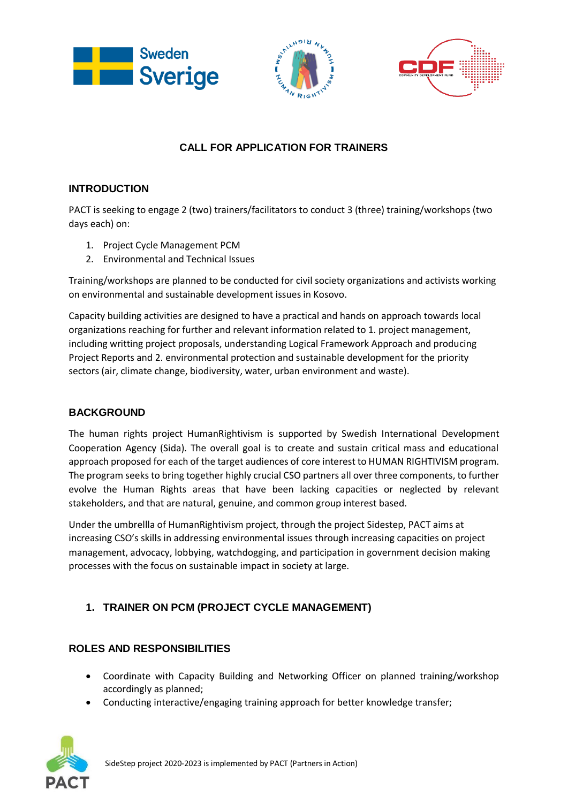





# **CALL FOR APPLICATION FOR TRAINERS**

## **INTRODUCTION**

PACT is seeking to engage 2 (two) trainers/facilitators to conduct 3 (three) training/workshops (two days each) on:

- 1. Project Cycle Management PCM
- 2. Environmental and Technical Issues

Training/workshops are planned to be conducted for civil society organizations and activists working on environmental and sustainable development issues in Kosovo.

Capacity building activities are designed to have a practical and hands on approach towards local organizations reaching for further and relevant information related to 1. project management, including writting project proposals, understanding Logical Framework Approach and producing Project Reports and 2. environmental protection and sustainable development for the priority sectors (air, climate change, biodiversity, water, urban environment and waste).

### **BACKGROUND**

The human rights project HumanRightivism is supported by Swedish International Development Cooperation Agency (Sida). The overall goal is to create and sustain critical mass and educational approach proposed for each of the target audiences of core interest to HUMAN RIGHTIVISM program. The program seeks to bring together highly crucial CSO partners all over three components, to further evolve the Human Rights areas that have been lacking capacities or neglected by relevant stakeholders, and that are natural, genuine, and common group interest based.

Under the umbrellla of HumanRightivism project, through the project Sidestep, PACT aims at increasing CSO's skills in addressing environmental issues through increasing capacities on project management, advocacy, lobbying, watchdogging, and participation in government decision making processes with the focus on sustainable impact in society at large.

## **1. TRAINER ON PCM (PROJECT CYCLE MANAGEMENT)**

### **ROLES AND RESPONSIBILITIES**

- Coordinate with Capacity Building and Networking Officer on planned training/workshop accordingly as planned;
- Conducting interactive/engaging training approach for better knowledge transfer;

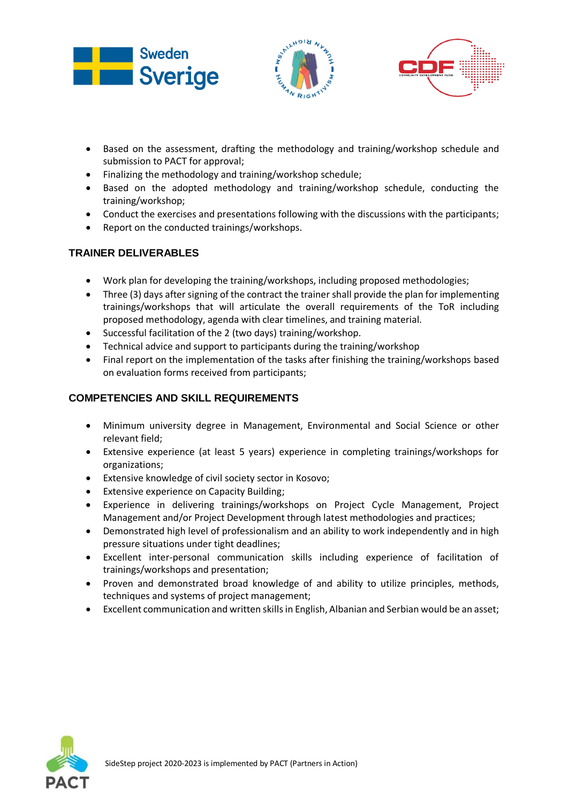





- Based on the assessment, drafting the methodology and training/workshop schedule and submission to PACT for approval;
- Finalizing the methodology and training/workshop schedule;
- Based on the adopted methodology and training/workshop schedule, conducting the training/workshop;
- Conduct the exercises and presentations following with the discussions with the participants;
- Report on the conducted trainings/workshops.

### **TRAINER DELIVERABLES**

- Work plan for developing the training/workshops, including proposed methodologies;
- Three (3) days after signing of the contract the trainer shall provide the plan for implementing trainings/workshops that will articulate the overall requirements of the ToR including proposed methodology, agenda with clear timelines, and training material.
- Successful facilitation of the 2 (two days) training/workshop.
- Technical advice and support to participants during the training/workshop
- Final report on the implementation of the tasks after finishing the training/workshops based on evaluation forms received from participants;

#### **COMPETENCIES AND SKILL REQUIREMENTS**

- Minimum university degree in Management, Environmental and Social Science or other relevant field;
- Extensive experience (at least 5 years) experience in completing trainings/workshops for organizations;
- Extensive knowledge of civil society sector in Kosovo;
- Extensive experience on Capacity Building;
- Experience in delivering trainings/workshops on Project Cycle Management, Project Management and/or Project Development through latest methodologies and practices;
- Demonstrated high level of professionalism and an ability to work independently and in high pressure situations under tight deadlines;
- Excellent inter-personal communication skills including experience of facilitation of trainings/workshops and presentation;
- Proven and demonstrated broad knowledge of and ability to utilize principles, methods, techniques and systems of project management;
- Excellent communication and written skills in English, Albanian and Serbian would be an asset;

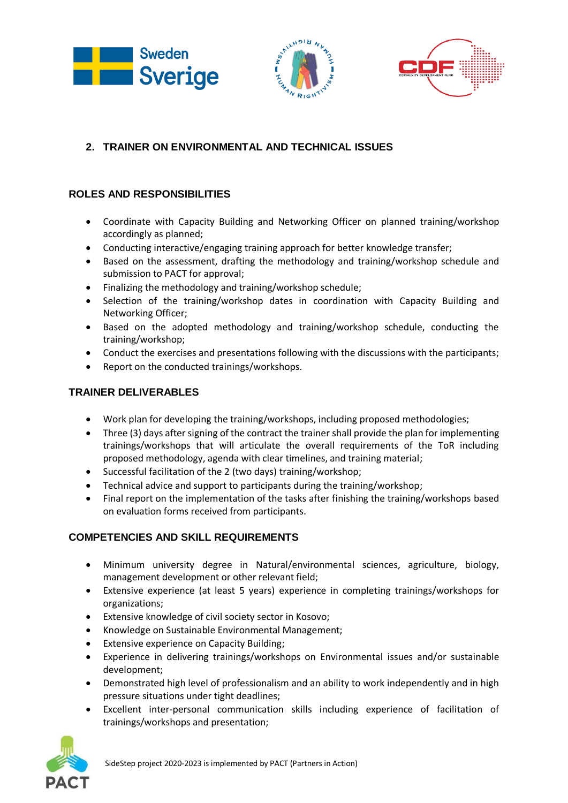





# **2. TRAINER ON ENVIRONMENTAL AND TECHNICAL ISSUES**

### **ROLES AND RESPONSIBILITIES**

- Coordinate with Capacity Building and Networking Officer on planned training/workshop accordingly as planned;
- Conducting interactive/engaging training approach for better knowledge transfer;
- Based on the assessment, drafting the methodology and training/workshop schedule and submission to PACT for approval;
- Finalizing the methodology and training/workshop schedule;
- Selection of the training/workshop dates in coordination with Capacity Building and Networking Officer;
- Based on the adopted methodology and training/workshop schedule, conducting the training/workshop;
- Conduct the exercises and presentations following with the discussions with the participants;
- Report on the conducted trainings/workshops.

### **TRAINER DELIVERABLES**

- Work plan for developing the training/workshops, including proposed methodologies;
- Three (3) days after signing of the contract the trainer shall provide the plan for implementing trainings/workshops that will articulate the overall requirements of the ToR including proposed methodology, agenda with clear timelines, and training material;
- Successful facilitation of the 2 (two days) training/workshop;
- Technical advice and support to participants during the training/workshop;
- Final report on the implementation of the tasks after finishing the training/workshops based on evaluation forms received from participants.

## **COMPETENCIES AND SKILL REQUIREMENTS**

- Minimum university degree in Natural/environmental sciences, agriculture, biology, management development or other relevant field;
- Extensive experience (at least 5 years) experience in completing trainings/workshops for organizations;
- Extensive knowledge of civil society sector in Kosovo;
- Knowledge on Sustainable Environmental Management;
- **•** Extensive experience on Capacity Building;
- Experience in delivering trainings/workshops on Environmental issues and/or sustainable development;
- Demonstrated high level of professionalism and an ability to work independently and in high pressure situations under tight deadlines;
- Excellent inter-personal communication skills including experience of facilitation of trainings/workshops and presentation;